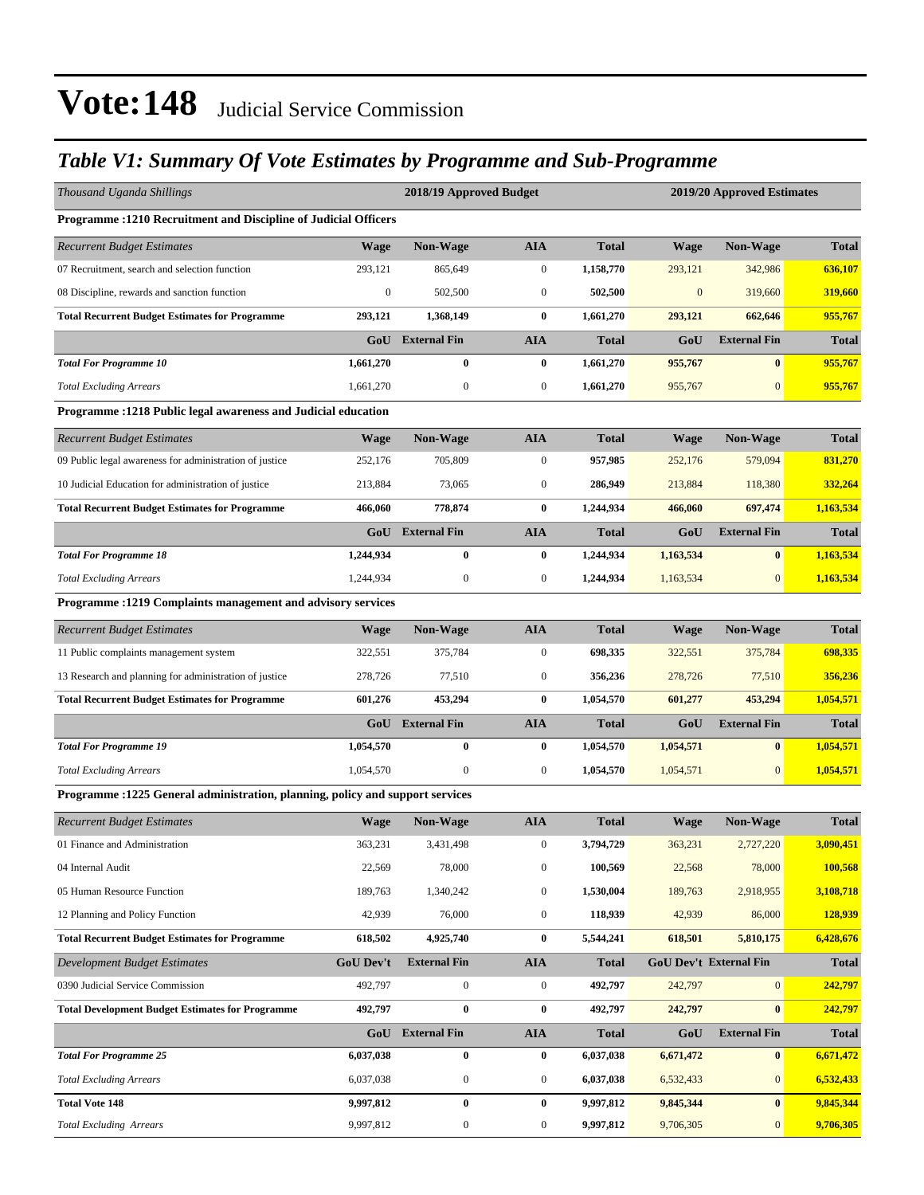### *Table V1: Summary Of Vote Estimates by Programme and Sub-Programme*

| Thousand Uganda Shillings                                                      |                  | 2018/19 Approved Budget<br>2019/20 Approved Estimates |                  |              |              |                        |              |  |  |  |
|--------------------------------------------------------------------------------|------------------|-------------------------------------------------------|------------------|--------------|--------------|------------------------|--------------|--|--|--|
| Programme : 1210 Recruitment and Discipline of Judicial Officers               |                  |                                                       |                  |              |              |                        |              |  |  |  |
| <b>Recurrent Budget Estimates</b>                                              | <b>Wage</b>      | Non-Wage                                              | <b>AIA</b>       | <b>Total</b> | <b>Wage</b>  | Non-Wage               | <b>Total</b> |  |  |  |
| 07 Recruitment, search and selection function                                  | 293,121          | 865,649                                               | $\boldsymbol{0}$ | 1,158,770    | 293,121      | 342,986                | 636,107      |  |  |  |
| 08 Discipline, rewards and sanction function                                   | $\boldsymbol{0}$ | 502,500                                               | $\mathbf{0}$     | 502,500      | $\mathbf{0}$ | 319,660                | 319,660      |  |  |  |
| <b>Total Recurrent Budget Estimates for Programme</b>                          | 293,121          | 1,368,149                                             | $\bf{0}$         | 1,661,270    | 293,121      | 662,646                | 955,767      |  |  |  |
|                                                                                | GoU              | <b>External Fin</b>                                   | <b>AIA</b>       | <b>Total</b> | GoU          | <b>External Fin</b>    | <b>Total</b> |  |  |  |
| <b>Total For Programme 10</b>                                                  | 1,661,270        | $\bf{0}$                                              | $\bf{0}$         | 1,661,270    | 955,767      | $\bf{0}$               | 955,767      |  |  |  |
| <b>Total Excluding Arrears</b>                                                 | 1,661,270        | $\boldsymbol{0}$                                      | $\boldsymbol{0}$ | 1,661,270    | 955,767      | $\mathbf{0}$           | 955,767      |  |  |  |
| Programme: 1218 Public legal awareness and Judicial education                  |                  |                                                       |                  |              |              |                        |              |  |  |  |
| <b>Recurrent Budget Estimates</b>                                              | <b>Wage</b>      | Non-Wage                                              | <b>AIA</b>       | <b>Total</b> | Wage         | Non-Wage               | <b>Total</b> |  |  |  |
| 09 Public legal awareness for administration of justice                        | 252,176          | 705,809                                               | $\mathbf{0}$     | 957,985      | 252,176      | 579,094                | 831,270      |  |  |  |
| 10 Judicial Education for administration of justice                            | 213,884          | 73,065                                                | $\boldsymbol{0}$ | 286,949      | 213,884      | 118,380                | 332,264      |  |  |  |
| <b>Total Recurrent Budget Estimates for Programme</b>                          | 466,060          | 778,874                                               | $\bf{0}$         | 1,244,934    | 466,060      | 697,474                | 1,163,534    |  |  |  |
|                                                                                |                  | <b>GoU</b> External Fin                               | <b>AIA</b>       | <b>Total</b> | GoU          | <b>External Fin</b>    | <b>Total</b> |  |  |  |
| <b>Total For Programme 18</b>                                                  | 1,244,934        | $\bf{0}$                                              | $\bf{0}$         | 1,244,934    | 1,163,534    | $\bf{0}$               | 1,163,534    |  |  |  |
| <b>Total Excluding Arrears</b>                                                 | 1,244,934        | $\mathbf{0}$                                          | $\boldsymbol{0}$ | 1,244,934    | 1,163,534    | $\mathbf{0}$           | 1,163,534    |  |  |  |
| Programme : 1219 Complaints management and advisory services                   |                  |                                                       |                  |              |              |                        |              |  |  |  |
| <b>Recurrent Budget Estimates</b>                                              | Wage             | Non-Wage                                              | <b>AIA</b>       | <b>Total</b> | <b>Wage</b>  | <b>Non-Wage</b>        | <b>Total</b> |  |  |  |
| 11 Public complaints management system                                         | 322,551          | 375,784                                               | $\mathbf{0}$     | 698,335      | 322,551      | 375,784                | 698,335      |  |  |  |
| 13 Research and planning for administration of justice                         | 278,726          | 77,510                                                | $\mathbf{0}$     | 356,236      | 278,726      | 77,510                 | 356,236      |  |  |  |
| <b>Total Recurrent Budget Estimates for Programme</b>                          | 601,276          | 453,294                                               | $\bf{0}$         | 1,054,570    | 601,277      | 453,294                | 1,054,571    |  |  |  |
|                                                                                |                  | <b>GoU</b> External Fin                               | <b>AIA</b>       | <b>Total</b> | GoU          | <b>External Fin</b>    | <b>Total</b> |  |  |  |
| <b>Total For Programme 19</b>                                                  | 1,054,570        | $\bf{0}$                                              | $\bf{0}$         | 1,054,570    | 1,054,571    | $\bf{0}$               | 1,054,571    |  |  |  |
| <b>Total Excluding Arrears</b>                                                 | 1,054,570        | $\boldsymbol{0}$                                      | $\mathbf{0}$     | 1,054,570    | 1,054,571    | $\mathbf{0}$           | 1,054,571    |  |  |  |
| Programme : 1225 General administration, planning, policy and support services |                  |                                                       |                  |              |              |                        |              |  |  |  |
| <b>Recurrent Budget Estimates</b>                                              | <b>Wage</b>      | Non-Wage                                              | <b>AIA</b>       | <b>Total</b> | <b>Wage</b>  | Non-Wage               | <b>Total</b> |  |  |  |
| 01 Finance and Administration                                                  | 363,231          | 3,431,498                                             | $\boldsymbol{0}$ | 3,794,729    | 363,231      | 2,727,220              | 3,090,451    |  |  |  |
| 04 Internal Audit                                                              | 22,569           | 78,000                                                | $\boldsymbol{0}$ | 100,569      | 22,568       | 78,000                 | 100,568      |  |  |  |
| 05 Human Resource Function                                                     | 189,763          | 1,340,242                                             | $\boldsymbol{0}$ | 1,530,004    | 189,763      | 2,918,955              | 3,108,718    |  |  |  |
| 12 Planning and Policy Function                                                | 42,939           | 76,000                                                | $\boldsymbol{0}$ | 118,939      | 42,939       | 86,000                 | 128,939      |  |  |  |
| <b>Total Recurrent Budget Estimates for Programme</b>                          | 618,502          | 4,925,740                                             | $\bf{0}$         | 5,544,241    | 618,501      | 5,810,175              | 6,428,676    |  |  |  |
| Development Budget Estimates                                                   | <b>GoU Dev't</b> | <b>External Fin</b>                                   | <b>AIA</b>       | <b>Total</b> |              | GoU Dev't External Fin | <b>Total</b> |  |  |  |
| 0390 Judicial Service Commission                                               | 492,797          | $\boldsymbol{0}$                                      | $\boldsymbol{0}$ | 492,797      | 242,797      | $\mathbf{0}$           | 242,797      |  |  |  |
| <b>Total Development Budget Estimates for Programme</b>                        | 492,797          | $\pmb{0}$                                             | $\bf{0}$         | 492,797      | 242,797      | $\bf{0}$               | 242,797      |  |  |  |
|                                                                                |                  | GoU External Fin                                      | <b>AIA</b>       | <b>Total</b> | GoU          | <b>External Fin</b>    | <b>Total</b> |  |  |  |
| <b>Total For Programme 25</b>                                                  | 6,037,038        | $\bf{0}$                                              | $\bf{0}$         | 6,037,038    | 6,671,472    | $\bf{0}$               | 6,671,472    |  |  |  |
| <b>Total Excluding Arrears</b>                                                 | 6,037,038        | $\boldsymbol{0}$                                      | $\boldsymbol{0}$ | 6,037,038    | 6,532,433    | $\mathbf{0}$           | 6,532,433    |  |  |  |
| <b>Total Vote 148</b>                                                          | 9,997,812        | $\bf{0}$                                              | $\bf{0}$         | 9,997,812    | 9,845,344    | $\bf{0}$               | 9,845,344    |  |  |  |
| <b>Total Excluding Arrears</b>                                                 | 9,997,812        | $\boldsymbol{0}$                                      | $\boldsymbol{0}$ | 9,997,812    | 9,706,305    | $\mathbf{0}$           | 9,706,305    |  |  |  |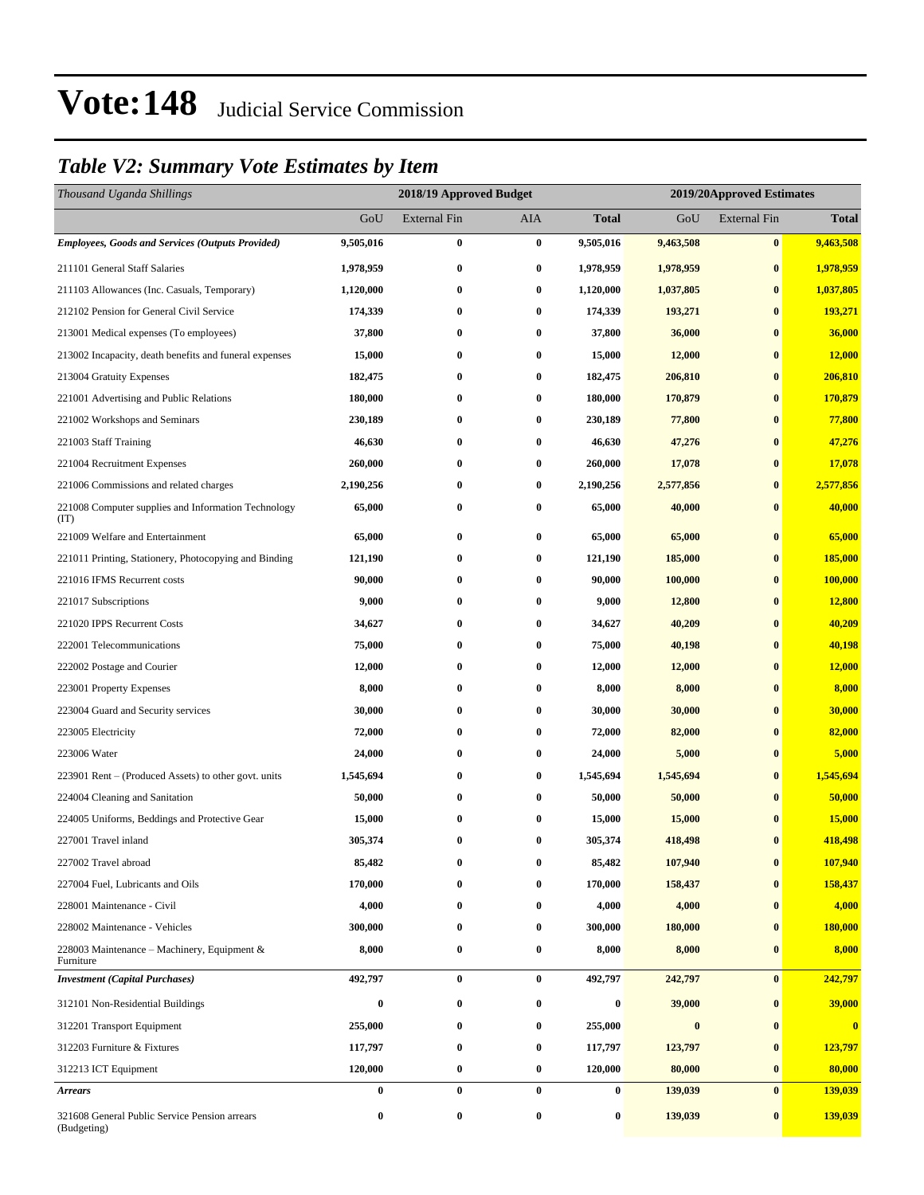### *Table V2: Summary Vote Estimates by Item*

| Thousand Uganda Shillings                                    |           | 2018/19 Approved Budget |          | 2019/20Approved Estimates |           |                     |                         |
|--------------------------------------------------------------|-----------|-------------------------|----------|---------------------------|-----------|---------------------|-------------------------|
|                                                              | GoU       | <b>External Fin</b>     | AIA      | <b>Total</b>              | GoU       | <b>External Fin</b> | <b>Total</b>            |
| <b>Employees, Goods and Services (Outputs Provided)</b>      | 9,505,016 | $\bf{0}$                | $\bf{0}$ | 9,505,016                 | 9,463,508 | $\bf{0}$            | 9,463,508               |
| 211101 General Staff Salaries                                | 1,978,959 | $\bf{0}$                | $\bf{0}$ | 1,978,959                 | 1,978,959 | $\bf{0}$            | 1,978,959               |
| 211103 Allowances (Inc. Casuals, Temporary)                  | 1,120,000 | $\bf{0}$                | $\bf{0}$ | 1,120,000                 | 1,037,805 | $\bf{0}$            | 1,037,805               |
| 212102 Pension for General Civil Service                     | 174,339   | $\bf{0}$                | $\bf{0}$ | 174,339                   | 193,271   | $\bf{0}$            | 193,271                 |
| 213001 Medical expenses (To employees)                       | 37,800    | $\bf{0}$                | $\bf{0}$ | 37,800                    | 36,000    | $\bf{0}$            | 36,000                  |
| 213002 Incapacity, death benefits and funeral expenses       | 15,000    | $\bf{0}$                | $\bf{0}$ | 15,000                    | 12,000    | $\bf{0}$            | 12,000                  |
| 213004 Gratuity Expenses                                     | 182,475   | $\bf{0}$                | $\bf{0}$ | 182,475                   | 206,810   | $\bf{0}$            | 206,810                 |
| 221001 Advertising and Public Relations                      | 180,000   | $\bf{0}$                | $\bf{0}$ | 180,000                   | 170,879   | $\bf{0}$            | 170,879                 |
| 221002 Workshops and Seminars                                | 230,189   | $\bf{0}$                | $\bf{0}$ | 230,189                   | 77,800    | $\bf{0}$            | 77,800                  |
| 221003 Staff Training                                        | 46,630    | $\bf{0}$                | 0        | 46,630                    | 47,276    | $\bf{0}$            | 47,276                  |
| 221004 Recruitment Expenses                                  | 260,000   | $\bf{0}$                | $\bf{0}$ | 260,000                   | 17,078    | $\bf{0}$            | 17,078                  |
| 221006 Commissions and related charges                       | 2,190,256 | $\bf{0}$                | $\bf{0}$ | 2,190,256                 | 2,577,856 | $\bf{0}$            | 2,577,856               |
| 221008 Computer supplies and Information Technology<br>(TT)  | 65,000    | $\bf{0}$                | $\bf{0}$ | 65,000                    | 40,000    | $\bf{0}$            | 40,000                  |
| 221009 Welfare and Entertainment                             | 65,000    | $\bf{0}$                | $\bf{0}$ | 65,000                    | 65,000    | $\bf{0}$            | 65,000                  |
| 221011 Printing, Stationery, Photocopying and Binding        | 121,190   | $\bf{0}$                | $\bf{0}$ | 121,190                   | 185,000   | $\bf{0}$            | 185,000                 |
| 221016 IFMS Recurrent costs                                  | 90,000    | $\bf{0}$                | $\bf{0}$ | 90,000                    | 100,000   | $\bf{0}$            | 100,000                 |
| 221017 Subscriptions                                         | 9,000     | $\bf{0}$                | $\bf{0}$ | 9,000                     | 12,800    | $\bf{0}$            | 12,800                  |
| 221020 IPPS Recurrent Costs                                  | 34,627    | $\bf{0}$                | 0        | 34,627                    | 40,209    | $\bf{0}$            | 40,209                  |
| 222001 Telecommunications                                    | 75,000    | $\bf{0}$                | $\bf{0}$ | 75,000                    | 40,198    | $\bf{0}$            | 40,198                  |
| 222002 Postage and Courier                                   | 12,000    | $\bf{0}$                | $\bf{0}$ | 12,000                    | 12,000    | $\bf{0}$            | 12,000                  |
| 223001 Property Expenses                                     | 8,000     | $\bf{0}$                | $\bf{0}$ | 8,000                     | 8,000     | $\bf{0}$            | 8,000                   |
| 223004 Guard and Security services                           | 30,000    | $\bf{0}$                | $\bf{0}$ | 30,000                    | 30,000    | $\bf{0}$            | 30,000                  |
| 223005 Electricity                                           | 72,000    | $\bf{0}$                | 0        | 72,000                    | 82,000    | $\bf{0}$            | 82,000                  |
| 223006 Water                                                 | 24,000    | $\bf{0}$                | $\bf{0}$ | 24,000                    | 5,000     | $\bf{0}$            | 5,000                   |
| 223901 Rent – (Produced Assets) to other govt. units         | 1,545,694 | $\bf{0}$                | $\bf{0}$ | 1,545,694                 | 1,545,694 | $\bf{0}$            | 1,545,694               |
| 224004 Cleaning and Sanitation                               | 50,000    | $\bf{0}$                | $\bf{0}$ | 50,000                    | 50,000    | $\bf{0}$            | 50,000                  |
| 224005 Uniforms, Beddings and Protective Gear                | 15,000    | $\bf{0}$                | $\bf{0}$ | 15,000                    | 15,000    | $\bf{0}$            | 15,000                  |
| 227001 Travel inland                                         | 305,374   | $\bf{0}$                | $\bf{0}$ | 305,374                   | 418,498   | $\bf{0}$            | 418,498                 |
| 227002 Travel abroad                                         | 85,482    | $\bf{0}$                | $\bf{0}$ | 85,482                    | 107,940   | $\bf{0}$            | 107,940                 |
| 227004 Fuel, Lubricants and Oils                             | 170,000   | $\bf{0}$                | $\bf{0}$ | 170,000                   | 158,437   | $\bf{0}$            | 158,437                 |
| 228001 Maintenance - Civil                                   | 4,000     | $\bf{0}$                | 0        | 4,000                     | 4,000     | $\bf{0}$            | 4,000                   |
| 228002 Maintenance - Vehicles                                | 300,000   | $\bf{0}$                | 0        | 300,000                   | 180,000   | $\bf{0}$            | 180,000                 |
| 228003 Maintenance – Machinery, Equipment $\&$<br>Furniture  | 8,000     | $\bf{0}$                | $\bf{0}$ | 8,000                     | 8,000     | $\bf{0}$            | 8,000                   |
| <b>Investment</b> (Capital Purchases)                        | 492,797   | $\bf{0}$                | $\bf{0}$ | 492,797                   | 242,797   | $\bf{0}$            | 242,797                 |
| 312101 Non-Residential Buildings                             | 0         | $\bf{0}$                | $\bf{0}$ | 0                         | 39,000    | $\bf{0}$            | 39,000                  |
| 312201 Transport Equipment                                   | 255,000   | $\bf{0}$                | $\bf{0}$ | 255,000                   | $\bf{0}$  | $\bf{0}$            | $\overline{\mathbf{0}}$ |
| 312203 Furniture & Fixtures                                  | 117,797   | $\bf{0}$                | $\bf{0}$ | 117,797                   | 123,797   | $\bf{0}$            | 123,797                 |
| 312213 ICT Equipment                                         | 120,000   | $\bf{0}$                | $\bf{0}$ | 120,000                   | 80,000    | $\bf{0}$            | 80,000                  |
| <b>Arrears</b>                                               | $\bf{0}$  | $\bf{0}$                | $\bf{0}$ | $\bf{0}$                  | 139,039   | $\bf{0}$            | 139,039                 |
| 321608 General Public Service Pension arrears<br>(Budgeting) | 0         | $\bf{0}$                | $\bf{0}$ | $\boldsymbol{0}$          | 139,039   | $\bf{0}$            | 139,039                 |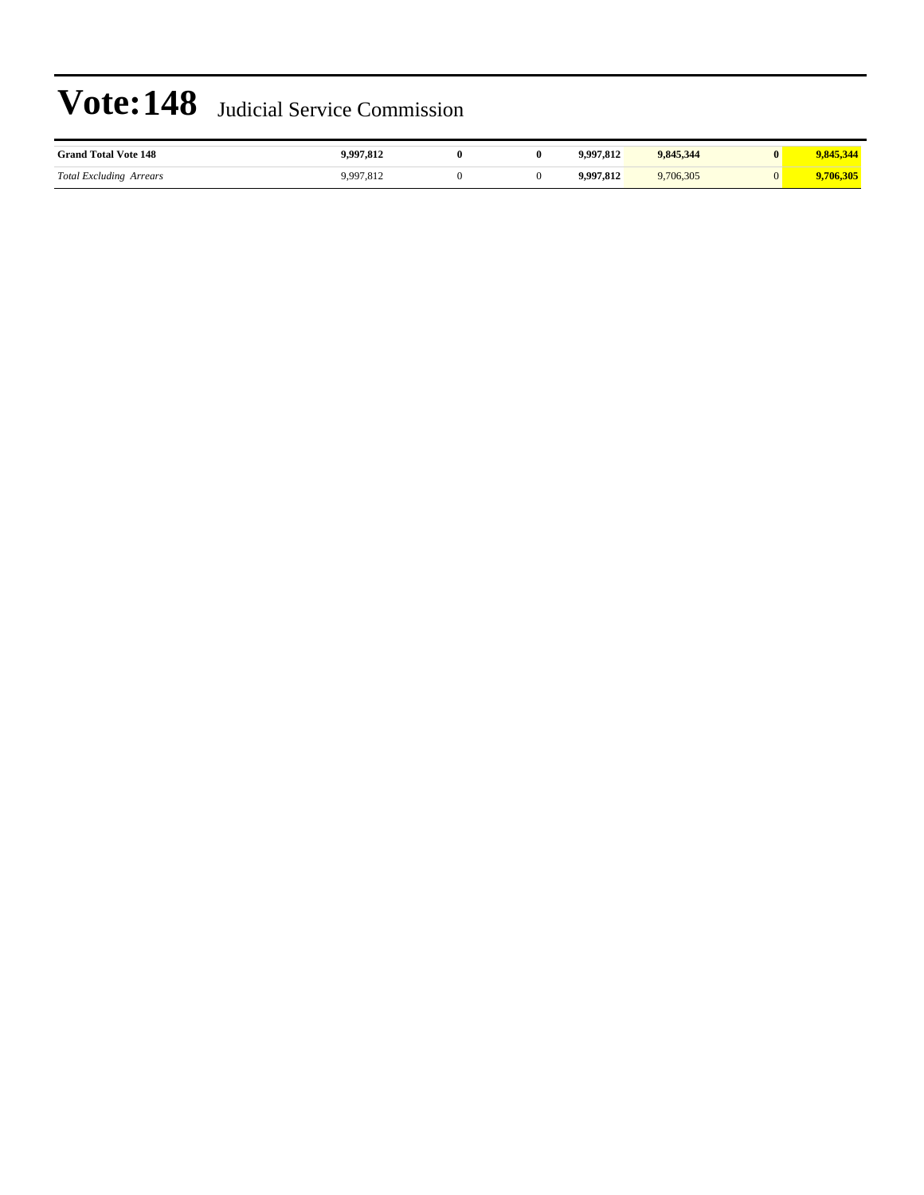| <b>Grand Total Vote 148</b>               | ∡⊥ه, ⁄    | $\mathbf{0}$ | .997.812           | 9.845.344 |      |
|-------------------------------------------|-----------|--------------|--------------------|-----------|------|
| <b>Total Excluding Arrears</b><br>$\circ$ | $77/01 -$ |              | $\cdot$ 00 $\cdot$ | 6.305     | .305 |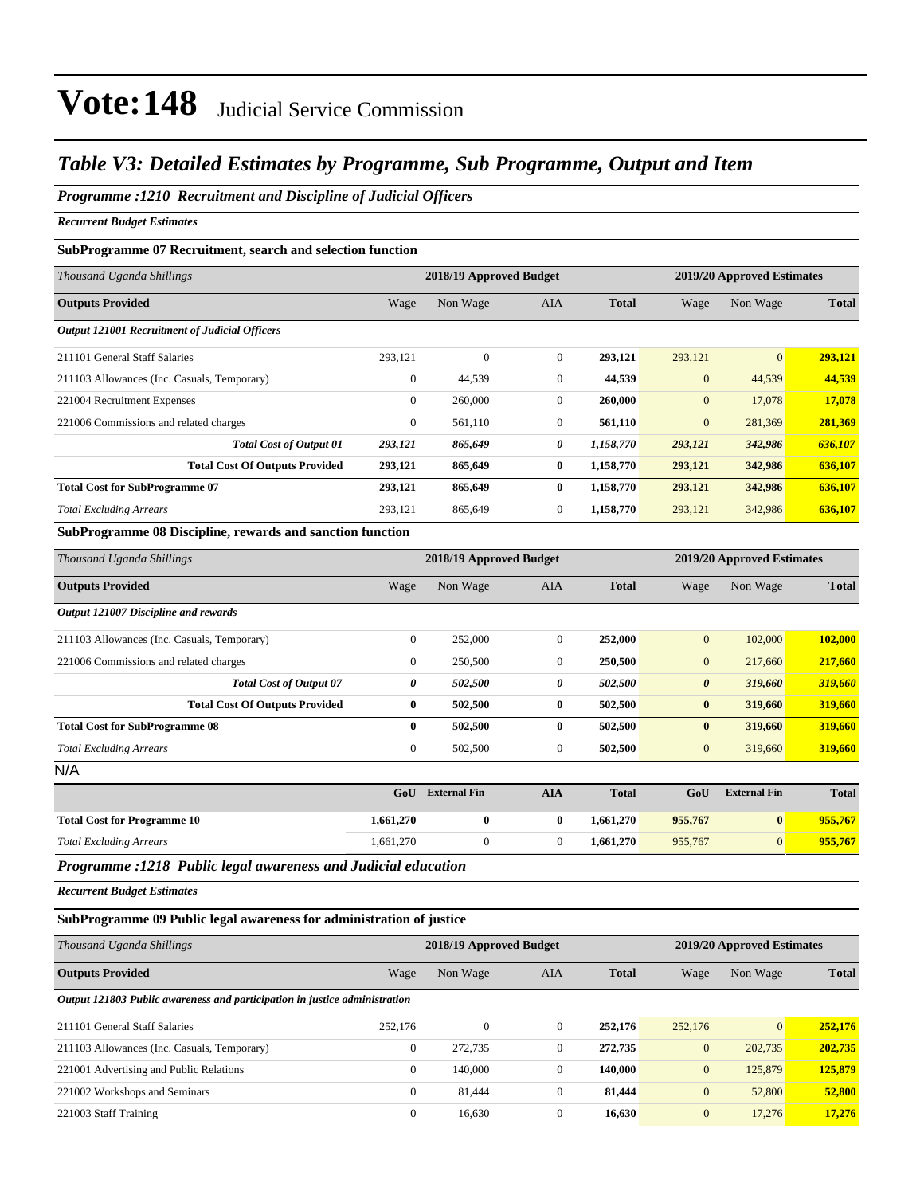### *Table V3: Detailed Estimates by Programme, Sub Programme, Output and Item*

### *Programme :1210 Recruitment and Discipline of Judicial Officers*

*Recurrent Budget Estimates*

#### **SubProgramme 07 Recruitment, search and selection function**

| Thousand Uganda Shillings                                                                                                      |              | 2018/19 Approved Budget |              | 2019/20 Approved Estimates |              |              |              |
|--------------------------------------------------------------------------------------------------------------------------------|--------------|-------------------------|--------------|----------------------------|--------------|--------------|--------------|
| <b>Outputs Provided</b>                                                                                                        | Wage         | Non Wage                | <b>AIA</b>   | <b>Total</b>               | Wage         | Non Wage     | <b>Total</b> |
| <b>Output 121001 Recruitment of Judicial Officers</b>                                                                          |              |                         |              |                            |              |              |              |
| 211101 General Staff Salaries                                                                                                  | 293,121      | $\mathbf{0}$            | $\mathbf{0}$ | 293,121                    | 293,121      | $\mathbf{0}$ | 293,121      |
| 211103 Allowances (Inc. Casuals, Temporary)                                                                                    | $\mathbf{0}$ | 44,539                  | $\mathbf{0}$ | 44,539                     | $\mathbf{0}$ | 44,539       | 44,539       |
| 221004 Recruitment Expenses                                                                                                    | $\mathbf{0}$ | 260,000                 | $\mathbf{0}$ | 260,000                    | $\mathbf{0}$ | 17,078       | 17,078       |
| 221006 Commissions and related charges                                                                                         | $\mathbf{0}$ | 561,110                 | $\Omega$     | 561,110                    | $\mathbf{0}$ | 281,369      | 281,369      |
| <b>Total Cost of Output 01</b>                                                                                                 | 293,121      | 865,649                 | 0            | 1,158,770                  | 293,121      | 342,986      | 636,107      |
| <b>Total Cost Of Outputs Provided</b>                                                                                          | 293,121      | 865,649                 | $\bf{0}$     | 1,158,770                  | 293,121      | 342,986      | 636,107      |
| <b>Total Cost for SubProgramme 07</b>                                                                                          | 293,121      | 865,649                 | $\mathbf{0}$ | 1,158,770                  | 293,121      | 342,986      | 636,107      |
| <b>Total Excluding Arrears</b>                                                                                                 | 293,121      | 865,649                 | $\mathbf{0}$ | 1,158,770                  | 293,121      | 342,986      | 636,107      |
| $\alpha$ in $\alpha$ is a sequence of $\alpha$ is the sequence of $\alpha$ is a sequence of $\alpha$ is a sequence of $\alpha$ |              |                         |              |                            |              |              |              |

#### **SubProgramme 08 Discipline, rewards and sanction function**

| Thousand Uganda Shillings                   | 2018/19 Approved Budget |                     |                  |              | 2019/20 Approved Estimates |                     |              |  |
|---------------------------------------------|-------------------------|---------------------|------------------|--------------|----------------------------|---------------------|--------------|--|
| <b>Outputs Provided</b>                     | Wage                    | Non Wage            | AIA              | <b>Total</b> | Wage                       | Non Wage            | <b>Total</b> |  |
| Output 121007 Discipline and rewards        |                         |                     |                  |              |                            |                     |              |  |
| 211103 Allowances (Inc. Casuals, Temporary) | $\bf{0}$                | 252,000             | $\boldsymbol{0}$ | 252,000      | $\mathbf{0}$               | 102,000             | 102,000      |  |
| 221006 Commissions and related charges      | $\mathbf{0}$            | 250,500             | $\overline{0}$   | 250,500      | $\mathbf{0}$               | 217,660             | 217,660      |  |
| <b>Total Cost of Output 07</b>              | 0                       | 502,500             | 0                | 502,500      | $\boldsymbol{\theta}$      | 319,660             | 319,660      |  |
| <b>Total Cost Of Outputs Provided</b>       | $\bf{0}$                | 502,500             | $\bf{0}$         | 502,500      | $\bf{0}$                   | 319,660             | 319,660      |  |
| <b>Total Cost for SubProgramme 08</b>       | $\bf{0}$                | 502,500             | $\bf{0}$         | 502,500      | $\bf{0}$                   | 319,660             | 319,660      |  |
| <b>Total Excluding Arrears</b>              | $\boldsymbol{0}$        | 502,500             | $\boldsymbol{0}$ | 502,500      | $\mathbf{0}$               | 319,660             | 319,660      |  |
| N/A                                         |                         |                     |                  |              |                            |                     |              |  |
|                                             | GoU                     | <b>External Fin</b> | <b>AIA</b>       | <b>Total</b> | GoU                        | <b>External Fin</b> | <b>Total</b> |  |
| <b>Total Cost for Programme 10</b>          | 1,661,270               | $\bf{0}$            | $\bf{0}$         | 1,661,270    | 955,767                    | $\bf{0}$            | 955,767      |  |
| <b>Total Excluding Arrears</b>              | 1,661,270               | $\overline{0}$      | $\overline{0}$   | 1,661,270    | 955,767                    | $\overline{0}$      | 955,767      |  |

*Programme :1218 Public legal awareness and Judicial education*

*Recurrent Budget Estimates*

#### **SubProgramme 09 Public legal awareness for administration of justice**

| Thousand Uganda Shillings                                                  |              | 2018/19 Approved Budget | 2019/20 Approved Estimates |              |                |                 |              |
|----------------------------------------------------------------------------|--------------|-------------------------|----------------------------|--------------|----------------|-----------------|--------------|
| <b>Outputs Provided</b>                                                    | Wage         | Non Wage                | <b>AIA</b>                 | <b>Total</b> | Wage           | Non Wage        | <b>Total</b> |
| Output 121803 Public awareness and participation in justice administration |              |                         |                            |              |                |                 |              |
| 211101 General Staff Salaries                                              | 252,176      | $\mathbf{0}$            | $\overline{0}$             | 252,176      | 252,176        | $\vert 0 \vert$ | 252,176      |
| 211103 Allowances (Inc. Casuals, Temporary)                                | $\mathbf{0}$ | 272,735                 | $\theta$                   | 272,735      | $\overline{0}$ | 202,735         | 202,735      |
| 221001 Advertising and Public Relations                                    | $\mathbf{0}$ | 140,000                 | $\mathbf{0}$               | 140.000      | $\mathbf{0}$   | 125,879         | 125,879      |
| 221002 Workshops and Seminars                                              | $\mathbf{0}$ | 81.444                  | $\mathbf{0}$               | 81,444       | $\overline{0}$ | 52,800          | 52,800       |
| 221003 Staff Training                                                      | $\mathbf{0}$ | 16,630                  | $\theta$                   | 16,630       | $\overline{0}$ | 17,276          | 17,276       |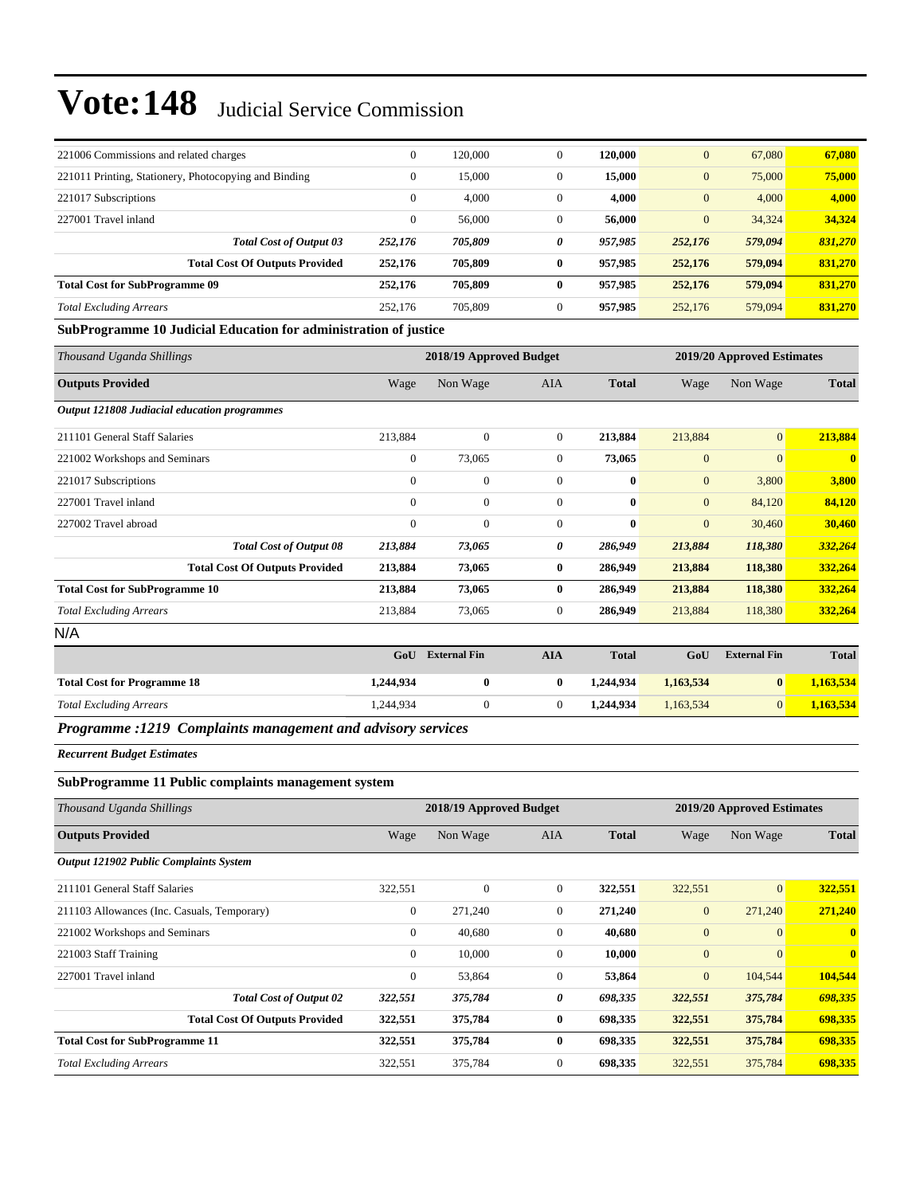| 221006 Commissions and related charges                | $\overline{0}$ | 120,000 | $\Omega$     | 120,000 | $\overline{0}$   | 67,080  | 67,080  |
|-------------------------------------------------------|----------------|---------|--------------|---------|------------------|---------|---------|
| 221011 Printing, Stationery, Photocopying and Binding | $\overline{0}$ | 15,000  | $\mathbf{0}$ | 15,000  | $\mathbf{0}$     | 75,000  | 75,000  |
| 221017 Subscriptions                                  | $\overline{0}$ | 4,000   | $\mathbf{0}$ | 4,000   | $\boldsymbol{0}$ | 4,000   | 4,000   |
| 227001 Travel inland                                  | $\overline{0}$ | 56,000  | $\Omega$     | 56,000  | $\mathbf{0}$     | 34,324  | 34,324  |
| <b>Total Cost of Output 03</b>                        | 252,176        | 705,809 | 0            | 957,985 | 252,176          | 579,094 | 831.270 |
| <b>Total Cost Of Outputs Provided</b>                 | 252,176        | 705.809 | 0            | 957,985 | 252,176          | 579,094 | 831,270 |
| <b>Total Cost for SubProgramme 09</b>                 | 252,176        | 705,809 | 0            | 957,985 | 252,176          | 579,094 | 831,270 |
| <b>Total Excluding Arrears</b>                        | 252,176        | 705,809 | $\mathbf{0}$ | 957,985 | 252,176          | 579,094 | 831,270 |
| $\alpha$ in<br>.<br>$\cdot$ .<br>$\mathbf{a}$         | $\cdots$       |         |              |         |                  |         |         |

#### **SubProgramme 10 Judicial Education for administration of justice**

| Thousand Uganda Shillings                    | 2018/19 Approved Budget<br>2019/20 Approved Estimates |                              |                           |                           |                     |                                                                                  |                   |
|----------------------------------------------|-------------------------------------------------------|------------------------------|---------------------------|---------------------------|---------------------|----------------------------------------------------------------------------------|-------------------|
| <b>Outputs Provided</b>                      | Wage                                                  | Non Wage                     | AIA                       | <b>Total</b>              | Wage                | Non Wage                                                                         | <b>Total</b>      |
| Output 121808 Judiacial education programmes |                                                       |                              |                           |                           |                     |                                                                                  |                   |
| 211101 General Staff Salaries                | 213,884                                               | $\boldsymbol{0}$             | $\overline{0}$            | 213,884                   | 213,884             | $\mathbf{0}$                                                                     | 213,884           |
| 221002 Workshops and Seminars                | $\boldsymbol{0}$                                      | 73,065                       | $\overline{0}$            | 73,065                    | $\mathbf{0}$        | $\overline{0}$                                                                   | $\mathbf{0}$      |
| 221017 Subscriptions                         | $\mathbf{0}$                                          | $\boldsymbol{0}$             | $\mathbf{0}$              | $\bf{0}$                  | $\mathbf{0}$        | 3,800                                                                            | 3,800             |
| 227001 Travel inland                         | $\mathbf{0}$                                          | $\mathbf{0}$                 | $\overline{0}$            | $\mathbf{0}$              | $\mathbf{0}$        | 84,120                                                                           | 84,120            |
| 227002 Travel abroad                         | $\overline{0}$                                        | $\mathbf{0}$                 | $\mathbf{0}$              | $\bf{0}$                  | $\overline{0}$      | 30,460                                                                           | 30,460            |
| <b>Total Cost of Output 08</b>               | 213,884                                               | 73,065                       | 0                         | 286,949                   | 213,884             | 118,380                                                                          | 332,264           |
| <b>Total Cost Of Outputs Provided</b>        | 213,884                                               | 73,065                       | $\bf{0}$                  | 286,949                   | 213,884             | 118,380                                                                          | 332,264           |
| <b>Total Cost for SubProgramme 10</b>        | 213,884                                               | 73,065                       | $\bf{0}$                  | 286,949                   | 213,884             | 118,380                                                                          | 332,264           |
| <b>Total Excluding Arrears</b>               | 213,884                                               | 73,065                       | $\overline{0}$            | 286,949                   | 213,884             | 118,380                                                                          | 332,264           |
| N/A                                          |                                                       |                              |                           |                           |                     |                                                                                  |                   |
|                                              |                                                       | $C \times T$ $R$ $I$ $R$ $I$ | $\mathbf{A}$ $\mathbf{Y}$ | $\mathbf{m}$ $\mathbf{r}$ | $\sim$ $\mathbf{r}$ | $\mathbf{r}$ and $\mathbf{r}$ and $\mathbf{r}$ and $\mathbf{r}$ and $\mathbf{r}$ | $m \rightarrow 1$ |

|                                    | GoU       | <b>External Fin</b> | AIA | <b>Total</b> | GoU       | <b>External Fin</b> | <b>Total</b> |
|------------------------------------|-----------|---------------------|-----|--------------|-----------|---------------------|--------------|
| <b>Total Cost for Programme 18</b> | 1,244,934 | 0                   |     | 1.244.934    | 1,163,534 |                     | 1,163,534    |
| <b>Total Excluding Arrears</b>     | 1.244.934 |                     |     | 1.244.934    | 1,163,534 |                     | 1,163,534    |
| -----<br>$\sim$                    | .         |                     |     |              |           |                     |              |

#### *Programme :1219 Complaints management and advisory services*

*Recurrent Budget Estimates*

### **SubProgramme 11 Public complaints management system**

| Thousand Uganda Shillings                   |                | 2018/19 Approved Budget |              |              | 2019/20 Approved Estimates |                |              |
|---------------------------------------------|----------------|-------------------------|--------------|--------------|----------------------------|----------------|--------------|
| <b>Outputs Provided</b>                     | Wage           | Non Wage                | AIA          | <b>Total</b> | Wage                       | Non Wage       | <b>Total</b> |
| Output 121902 Public Complaints System      |                |                         |              |              |                            |                |              |
| 211101 General Staff Salaries               | 322,551        | $\mathbf{0}$            | $\mathbf{0}$ | 322,551      | 322,551                    | $\overline{0}$ | 322,551      |
| 211103 Allowances (Inc. Casuals, Temporary) | $\mathbf{0}$   | 271,240                 | $\Omega$     | 271,240      | $\mathbf{0}$               | 271,240        | 271,240      |
| 221002 Workshops and Seminars               | $\mathbf{0}$   | 40,680                  | $\mathbf{0}$ | 40,680       | $\mathbf{0}$               | $\overline{0}$ | $\mathbf{0}$ |
| 221003 Staff Training                       | $\mathbf{0}$   | 10,000                  | $\mathbf{0}$ | 10,000       | $\overline{0}$             | $\overline{0}$ | $\mathbf{0}$ |
| 227001 Travel inland                        | $\overline{0}$ | 53,864                  | $\mathbf{0}$ | 53,864       | $\mathbf{0}$               | 104,544        | 104,544      |
| <b>Total Cost of Output 02</b>              | 322,551        | 375,784                 | 0            | 698,335      | 322,551                    | 375,784        | 698,335      |
| <b>Total Cost Of Outputs Provided</b>       | 322,551        | 375,784                 | 0            | 698,335      | 322,551                    | 375,784        | 698,335      |
| <b>Total Cost for SubProgramme 11</b>       | 322,551        | 375,784                 | $\bf{0}$     | 698,335      | 322,551                    | 375,784        | 698,335      |
| <b>Total Excluding Arrears</b>              | 322,551        | 375,784                 | $\mathbf{0}$ | 698,335      | 322,551                    | 375,784        | 698,335      |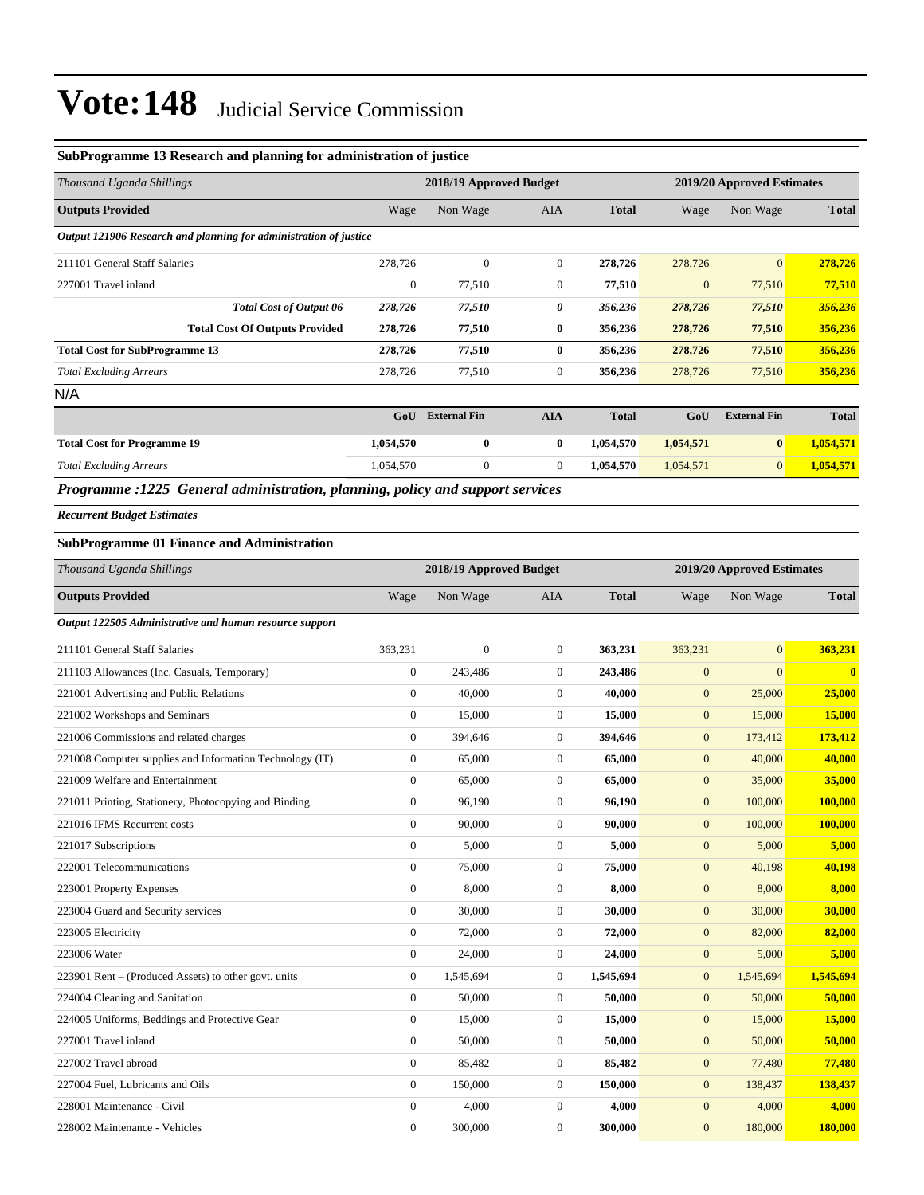### **SubProgramme 13 Research and planning for administration of justice**

| Thousand Uganda Shillings                                         |              | 2018/19 Approved Budget |                |              | 2019/20 Approved Estimates |                     |              |  |
|-------------------------------------------------------------------|--------------|-------------------------|----------------|--------------|----------------------------|---------------------|--------------|--|
| <b>Outputs Provided</b>                                           | Wage         | Non Wage                | <b>AIA</b>     | <b>Total</b> | Wage                       | Non Wage            | <b>Total</b> |  |
| Output 121906 Research and planning for administration of justice |              |                         |                |              |                            |                     |              |  |
| 211101 General Staff Salaries                                     | 278,726      | $\mathbf{0}$            | $\overline{0}$ | 278,726      | 278,726                    | $\overline{0}$      | 278,726      |  |
| 227001 Travel inland                                              | $\mathbf{0}$ | 77,510                  | $\overline{0}$ | 77,510       | $\overline{0}$             | 77,510              | 77,510       |  |
| <b>Total Cost of Output 06</b>                                    | 278,726      | 77,510                  | 0              | 356,236      | 278,726                    | 77,510              | 356,236      |  |
| <b>Total Cost Of Outputs Provided</b>                             | 278,726      | 77,510                  | $\bf{0}$       | 356,236      | 278,726                    | 77,510              | 356,236      |  |
| <b>Total Cost for SubProgramme 13</b>                             | 278,726      | 77,510                  | $\bf{0}$       | 356,236      | 278,726                    | 77,510              | 356,236      |  |
| <b>Total Excluding Arrears</b>                                    | 278,726      | 77,510                  | $\overline{0}$ | 356,236      | 278,726                    | 77,510              | 356,236      |  |
| N/A                                                               |              |                         |                |              |                            |                     |              |  |
|                                                                   | GoU          | <b>External Fin</b>     | <b>AIA</b>     | <b>Total</b> | GoU                        | <b>External Fin</b> | <b>Total</b> |  |
| <b>Total Cost for Programme 19</b>                                | 1,054,570    | $\bf{0}$                | $\bf{0}$       | 1,054,570    | 1,054,571                  | $\bf{0}$            | 1,054,571    |  |
| <b>Total Excluding Arrears</b>                                    | 1,054,570    | $\mathbf{0}$            | $\overline{0}$ | 1,054,570    | 1,054,571                  | $\mathbf{0}$        | 1,054,571    |  |

*Programme :1225 General administration, planning, policy and support services*

*Recurrent Budget Estimates*

### **SubProgramme 01 Finance and Administration**

| Thousand Uganda Shillings                                |                  | 2018/19 Approved Budget |                  | 2019/20 Approved Estimates |                |                |              |
|----------------------------------------------------------|------------------|-------------------------|------------------|----------------------------|----------------|----------------|--------------|
| <b>Outputs Provided</b>                                  | Wage             | Non Wage                | <b>AIA</b>       | <b>Total</b>               | Wage           | Non Wage       | <b>Total</b> |
| Output 122505 Administrative and human resource support  |                  |                         |                  |                            |                |                |              |
| 211101 General Staff Salaries                            | 363,231          | $\overline{0}$          | $\boldsymbol{0}$ | 363,231                    | 363,231        | $\mathbf{0}$   | 363,231      |
| 211103 Allowances (Inc. Casuals, Temporary)              | $\mathbf{0}$     | 243,486                 | $\overline{0}$   | 243,486                    | $\mathbf{0}$   | $\overline{0}$ | $\bf{0}$     |
| 221001 Advertising and Public Relations                  | $\mathbf{0}$     | 40,000                  | $\overline{0}$   | 40,000                     | $\mathbf{0}$   | 25,000         | 25,000       |
| 221002 Workshops and Seminars                            | $\mathbf{0}$     | 15,000                  | $\overline{0}$   | 15,000                     | $\mathbf{0}$   | 15,000         | 15,000       |
| 221006 Commissions and related charges                   | $\mathbf{0}$     | 394,646                 | $\overline{0}$   | 394,646                    | $\mathbf{0}$   | 173,412        | 173,412      |
| 221008 Computer supplies and Information Technology (IT) | $\boldsymbol{0}$ | 65,000                  | $\boldsymbol{0}$ | 65,000                     | $\mathbf{0}$   | 40,000         | 40,000       |
| 221009 Welfare and Entertainment                         | $\mathbf{0}$     | 65,000                  | $\overline{0}$   | 65,000                     | $\mathbf{0}$   | 35,000         | 35,000       |
| 221011 Printing, Stationery, Photocopying and Binding    | $\mathbf{0}$     | 96,190                  | $\overline{0}$   | 96,190                     | $\mathbf{0}$   | 100,000        | 100,000      |
| 221016 IFMS Recurrent costs                              | $\boldsymbol{0}$ | 90,000                  | $\boldsymbol{0}$ | 90,000                     | $\mathbf{0}$   | 100,000        | 100,000      |
| 221017 Subscriptions                                     | $\mathbf{0}$     | 5,000                   | $\overline{0}$   | 5,000                      | $\mathbf{0}$   | 5,000          | 5,000        |
| 222001 Telecommunications                                | $\mathbf{0}$     | 75,000                  | $\boldsymbol{0}$ | 75,000                     | $\mathbf{0}$   | 40,198         | 40,198       |
| 223001 Property Expenses                                 | $\mathbf{0}$     | 8.000                   | $\overline{0}$   | 8,000                      | $\mathbf{0}$   | 8,000          | 8,000        |
| 223004 Guard and Security services                       | $\mathbf{0}$     | 30,000                  | $\overline{0}$   | 30,000                     | $\mathbf{0}$   | 30,000         | 30,000       |
| 223005 Electricity                                       | $\boldsymbol{0}$ | 72,000                  | $\boldsymbol{0}$ | 72,000                     | $\mathbf{0}$   | 82,000         | 82,000       |
| 223006 Water                                             | $\mathbf{0}$     | 24,000                  | $\overline{0}$   | 24,000                     | $\mathbf{0}$   | 5,000          | 5,000        |
| 223901 Rent – (Produced Assets) to other govt. units     | $\mathbf{0}$     | 1,545,694               | $\boldsymbol{0}$ | 1,545,694                  | $\mathbf{0}$   | 1,545,694      | 1,545,694    |
| 224004 Cleaning and Sanitation                           | $\mathbf{0}$     | 50,000                  | $\boldsymbol{0}$ | 50,000                     | $\mathbf{0}$   | 50,000         | 50,000       |
| 224005 Uniforms, Beddings and Protective Gear            | $\mathbf{0}$     | 15,000                  | $\overline{0}$   | 15,000                     | $\mathbf{0}$   | 15,000         | 15,000       |
| 227001 Travel inland                                     | $\boldsymbol{0}$ | 50,000                  | $\boldsymbol{0}$ | 50,000                     | $\mathbf{0}$   | 50,000         | 50,000       |
| 227002 Travel abroad                                     | $\mathbf{0}$     | 85,482                  | $\overline{0}$   | 85,482                     | $\mathbf{0}$   | 77,480         | 77,480       |
| 227004 Fuel, Lubricants and Oils                         | $\mathbf{0}$     | 150,000                 | $\boldsymbol{0}$ | 150,000                    | $\mathbf{0}$   | 138,437        | 138,437      |
| 228001 Maintenance - Civil                               | $\mathbf{0}$     | 4,000                   | $\overline{0}$   | 4,000                      | $\mathbf{0}$   | 4,000          | 4,000        |
| 228002 Maintenance - Vehicles                            | $\mathbf{0}$     | 300,000                 | $\mathbf{0}$     | 300,000                    | $\overline{0}$ | 180,000        | 180,000      |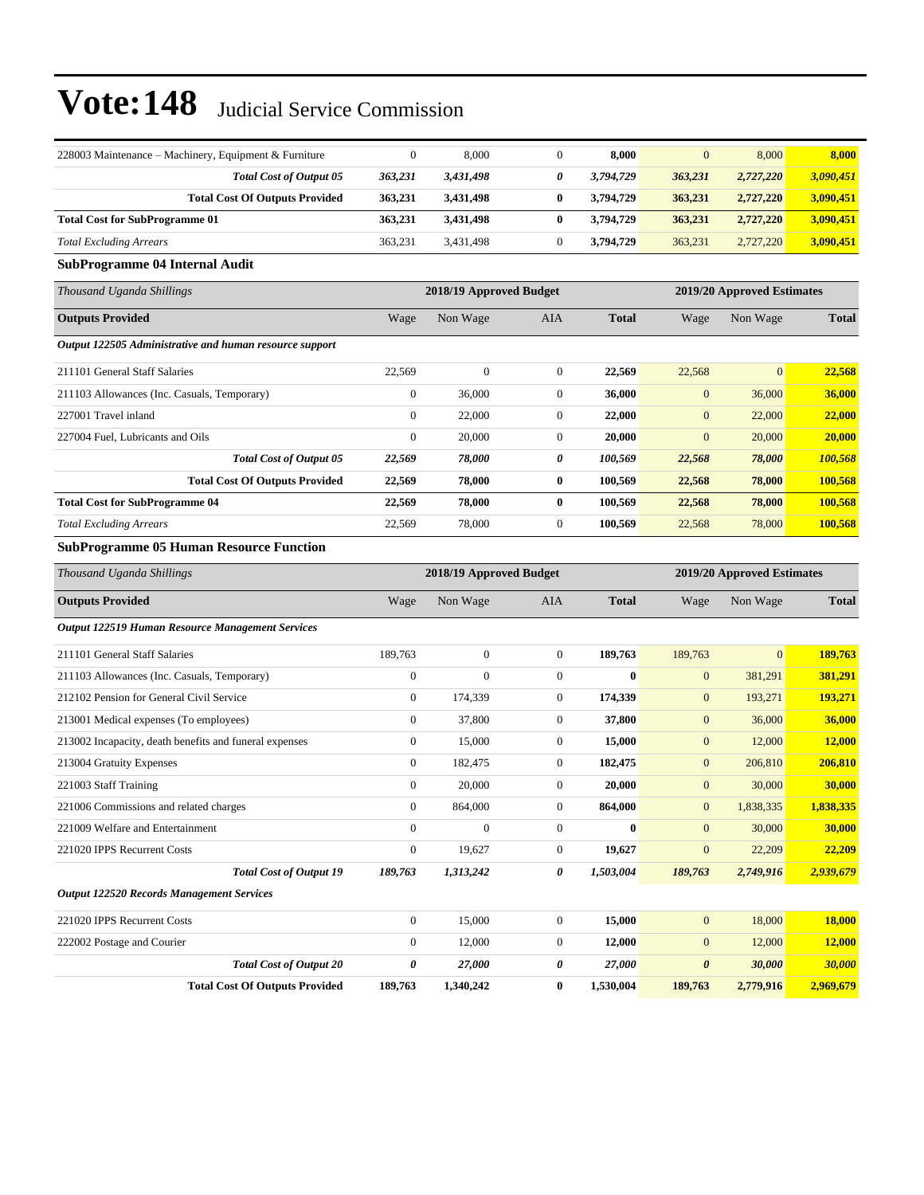| 228003 Maintenance – Machinery, Equipment & Furniture   | $\boldsymbol{0}$        | 8,000            | $\mathbf{0}$     | 8,000                      | $\mathbf{0}$     | 8,000                      | 8,000        |  |
|---------------------------------------------------------|-------------------------|------------------|------------------|----------------------------|------------------|----------------------------|--------------|--|
| <b>Total Cost of Output 05</b>                          | 363,231                 | 3,431,498        | 0                | 3,794,729                  | 363,231          | 2,727,220                  | 3,090,451    |  |
| <b>Total Cost Of Outputs Provided</b>                   | 363,231                 | 3,431,498        | $\bf{0}$         | 3,794,729                  | 363,231          | 2,727,220                  | 3,090,451    |  |
| <b>Total Cost for SubProgramme 01</b>                   | 363,231                 | 3,431,498        | $\bf{0}$         | 3,794,729                  | 363,231          | 2,727,220                  | 3,090,451    |  |
| <b>Total Excluding Arrears</b>                          | 363,231                 | 3,431,498        | $\boldsymbol{0}$ | 3,794,729                  | 363,231          | 2,727,220                  | 3,090,451    |  |
| <b>SubProgramme 04 Internal Audit</b>                   |                         |                  |                  |                            |                  |                            |              |  |
| Thousand Uganda Shillings                               | 2018/19 Approved Budget |                  |                  | 2019/20 Approved Estimates |                  |                            |              |  |
| <b>Outputs Provided</b>                                 | Wage                    | Non Wage         | AIA              | <b>Total</b>               | Wage             | Non Wage                   | <b>Total</b> |  |
| Output 122505 Administrative and human resource support |                         |                  |                  |                            |                  |                            |              |  |
| 211101 General Staff Salaries                           | 22,569                  | $\boldsymbol{0}$ | $\boldsymbol{0}$ | 22,569                     | 22,568           | $\mathbf{0}$               | 22,568       |  |
| 211103 Allowances (Inc. Casuals, Temporary)             | $\boldsymbol{0}$        | 36,000           | $\boldsymbol{0}$ | 36,000                     | $\mathbf{0}$     | 36,000                     | 36,000       |  |
| 227001 Travel inland                                    | $\boldsymbol{0}$        | 22,000           | $\boldsymbol{0}$ | 22,000                     | $\boldsymbol{0}$ | 22,000                     | 22,000       |  |
| 227004 Fuel, Lubricants and Oils                        | $\boldsymbol{0}$        | 20,000           | $\boldsymbol{0}$ | 20.000                     | $\mathbf{0}$     | 20,000                     | 20,000       |  |
| Total Cost of Output 05                                 | 22,569                  | 78,000           | 0                | 100,569                    | 22,568           | 78,000                     | 100,568      |  |
| <b>Total Cost Of Outputs Provided</b>                   | 22,569                  | 78,000           | $\bf{0}$         | 100,569                    | 22,568           | 78,000                     | 100,568      |  |
| <b>Total Cost for SubProgramme 04</b>                   | 22,569                  | 78,000           | $\bf{0}$         | 100,569                    | 22,568           | 78,000                     | 100,568      |  |
| <b>Total Excluding Arrears</b>                          | 22,569                  | 78,000           | $\boldsymbol{0}$ | 100,569                    | 22,568           | 78,000                     | 100,568      |  |
| <b>SubProgramme 05 Human Resource Function</b>          |                         |                  |                  |                            |                  |                            |              |  |
| Thousand Uganda Shillings                               | 2018/19 Approved Budget |                  |                  |                            |                  | 2019/20 Approved Estimates |              |  |
| <b>Outputs Provided</b>                                 | Wage                    | Non Wage         | AIA              | <b>Total</b>               | Wage             | Non Wage                   | <b>Total</b> |  |
| <b>Output 122519 Human Resource Management Services</b> |                         |                  |                  |                            |                  |                            |              |  |
| 211101 General Staff Salaries                           | 189,763                 | $\boldsymbol{0}$ | $\boldsymbol{0}$ | 189,763                    | 189,763          | $\overline{0}$             | 189,763      |  |
| 211103 Allowances (Inc. Casuals, Temporary)             | $\boldsymbol{0}$        | $\mathbf{0}$     | $\boldsymbol{0}$ | $\bf{0}$                   | $\mathbf{0}$     | 381,291                    | 381,291      |  |
| 212102 Pension for General Civil Service                | $\boldsymbol{0}$        | 174,339          | $\boldsymbol{0}$ | 174,339                    | $\mathbf{0}$     | 193,271                    | 193,271      |  |
| 213001 Medical expenses (To employees)                  | $\boldsymbol{0}$        | 37,800           | $\boldsymbol{0}$ | 37,800                     | $\mathbf{0}$     | 36,000                     | 36,000       |  |
| 213002 Incapacity, death benefits and funeral expenses  | $\boldsymbol{0}$        | 15,000           | $\boldsymbol{0}$ | 15,000                     | $\boldsymbol{0}$ | 12,000                     | 12,000       |  |
| 213004 Gratuity Expenses                                | $\boldsymbol{0}$        | 182,475          | $\boldsymbol{0}$ | 182,475                    | $\mathbf{0}$     | 206,810                    | 206,810      |  |
| 221003 Staff Training                                   | $\boldsymbol{0}$        | 20,000           | $\boldsymbol{0}$ | 20,000                     | $\boldsymbol{0}$ | 30,000                     | 30,000       |  |
| 221006 Commissions and related charges                  | $\boldsymbol{0}$        | 864,000          | $\mathbf{0}$     | 864,000                    | $\mathbf{0}$     | 1,838,335                  | 1,838,335    |  |
| 221009 Welfare and Entertainment                        | $\boldsymbol{0}$        | $\boldsymbol{0}$ | $\boldsymbol{0}$ | $\bf{0}$                   | $\boldsymbol{0}$ | 30,000                     | 30,000       |  |
| 221020 IPPS Recurrent Costs                             | $\boldsymbol{0}$        | 19,627           | $\boldsymbol{0}$ | 19,627                     | $\boldsymbol{0}$ | 22,209                     | 22,209       |  |
| <b>Total Cost of Output 19</b>                          | 189,763                 | 1,313,242        | 0                | 1,503,004                  | 189,763          | 2,749,916                  | 2,939,679    |  |
| <b>Output 122520 Records Management Services</b>        |                         |                  |                  |                            |                  |                            |              |  |
| 221020 IPPS Recurrent Costs                             | $\boldsymbol{0}$        | 15,000           | $\boldsymbol{0}$ | 15,000                     | $\mathbf{0}$     | 18,000                     | 18,000       |  |
| 222002 Postage and Courier                              | $\boldsymbol{0}$        | 12,000           | $\boldsymbol{0}$ | 12,000                     | $\mathbf{0}$     | 12,000                     | 12,000       |  |
| <b>Total Cost of Output 20</b>                          | 0                       | 27,000           | 0                | 27,000                     | 0                | 30,000                     | 30,000       |  |
| <b>Total Cost Of Outputs Provided</b>                   | 189,763                 | 1,340,242        | $\bf{0}$         | 1,530,004                  | 189,763          | 2,779,916                  | 2,969,679    |  |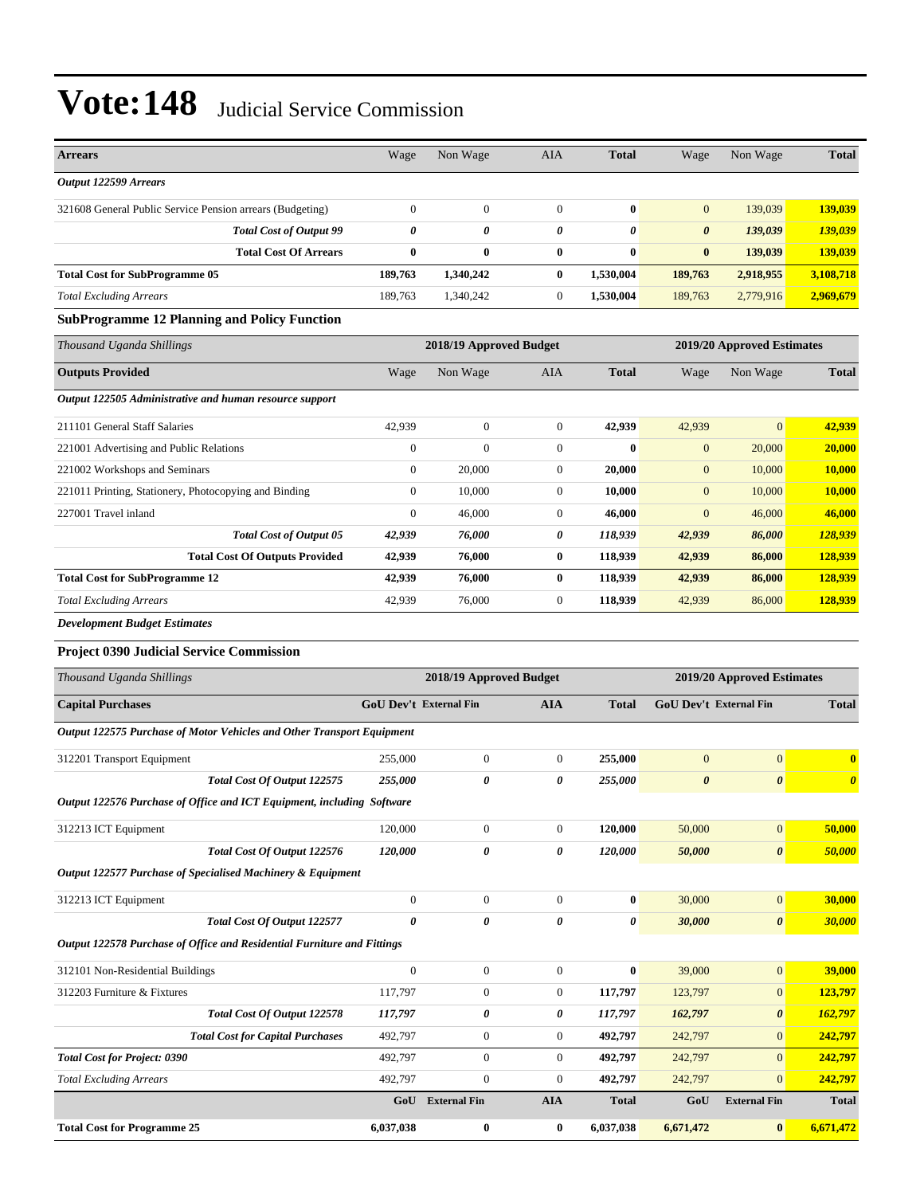| <b>Arrears</b>                                                          | Wage                  | Non Wage                | AIA                   | <b>Total</b>       | Wage                       | Non Wage                                  | <b>Total</b>          |
|-------------------------------------------------------------------------|-----------------------|-------------------------|-----------------------|--------------------|----------------------------|-------------------------------------------|-----------------------|
| Output 122599 Arrears                                                   |                       |                         |                       |                    |                            |                                           |                       |
| 321608 General Public Service Pension arrears (Budgeting)               | $\boldsymbol{0}$      | $\boldsymbol{0}$        | $\boldsymbol{0}$      | $\bf{0}$           | $\mathbf{0}$               | 139,039                                   | 139,039               |
| <b>Total Cost of Output 99</b>                                          | $\boldsymbol{\theta}$ | 0                       | 0                     | 0                  | $\boldsymbol{\theta}$      | 139,039                                   | 139,039               |
| <b>Total Cost Of Arrears</b>                                            | $\bf{0}$              | 0                       | $\bf{0}$              | $\bf{0}$           | $\bf{0}$                   | 139,039                                   | 139,039               |
| <b>Total Cost for SubProgramme 05</b>                                   | 189,763               | 1,340,242               | $\bf{0}$              | 1,530,004          | 189,763                    | 2,918,955                                 | 3,108,718             |
| <b>Total Excluding Arrears</b>                                          | 189,763               | 1,340,242               | $\boldsymbol{0}$      | 1,530,004          | 189,763                    | 2,779,916                                 | 2,969,679             |
| <b>SubProgramme 12 Planning and Policy Function</b>                     |                       |                         |                       |                    |                            |                                           |                       |
| Thousand Uganda Shillings                                               |                       | 2018/19 Approved Budget |                       |                    | 2019/20 Approved Estimates |                                           |                       |
| <b>Outputs Provided</b>                                                 | Wage                  | Non Wage                | AIA                   | <b>Total</b>       | Wage                       | Non Wage                                  | <b>Total</b>          |
| Output 122505 Administrative and human resource support                 |                       |                         |                       |                    |                            |                                           |                       |
| 211101 General Staff Salaries                                           | 42,939                | $\boldsymbol{0}$        | $\boldsymbol{0}$      | 42,939             | 42,939                     | $\mathbf{0}$                              | 42,939                |
| 221001 Advertising and Public Relations                                 | $\boldsymbol{0}$      | $\overline{0}$          | $\boldsymbol{0}$      | 0                  | $\mathbf{0}$               | 20,000                                    | 20,000                |
| 221002 Workshops and Seminars                                           | $\mathbf{0}$          | 20,000                  | $\boldsymbol{0}$      | 20,000             | $\mathbf{0}$               | 10,000                                    | 10,000                |
| 221011 Printing, Stationery, Photocopying and Binding                   | $\mathbf{0}$          | 10,000                  | $\boldsymbol{0}$      | 10,000             | $\mathbf{0}$               | 10,000                                    | 10,000                |
| 227001 Travel inland                                                    | $\mathbf{0}$          | 46,000                  | $\boldsymbol{0}$      | 46.000             | $\overline{0}$             | 46,000                                    | 46,000                |
| <b>Total Cost of Output 05</b>                                          | 42,939                | 76,000                  | 0                     | 118,939            | 42,939                     | 86,000                                    | 128,939               |
| <b>Total Cost Of Outputs Provided</b>                                   | 42,939                | 76,000                  | $\bf{0}$              | 118,939            | 42,939                     | 86,000                                    | 128,939               |
| <b>Total Cost for SubProgramme 12</b>                                   | 42,939                | 76,000                  | $\bf{0}$              | 118,939            | 42,939                     | 86,000                                    | 128,939               |
| <b>Total Excluding Arrears</b>                                          | 42,939                | 76,000                  | $\boldsymbol{0}$      | 118,939            | 42,939                     | 86,000                                    | 128,939               |
| <b>Development Budget Estimates</b>                                     |                       |                         |                       |                    |                            |                                           |                       |
| <b>Project 0390 Judicial Service Commission</b>                         |                       |                         |                       |                    |                            |                                           |                       |
| Thousand Uganda Shillings                                               |                       | 2018/19 Approved Budget |                       |                    |                            | 2019/20 Approved Estimates                |                       |
| <b>Capital Purchases</b>                                                |                       | GoU Dev't External Fin  | <b>AIA</b>            | <b>Total</b>       | GoU Dev't External Fin     |                                           | <b>Total</b>          |
| Output 122575 Purchase of Motor Vehicles and Other Transport Equipment  |                       |                         |                       |                    |                            |                                           |                       |
| 312201 Transport Equipment                                              | 255,000               | $\boldsymbol{0}$        | $\boldsymbol{0}$      | 255,000            | $\mathbf{0}$               | $\boldsymbol{0}$                          | $\mathbf{0}$          |
| Total Cost Of Output 122575                                             | 255,000               | 0                       | 0                     | 255,000            | $\boldsymbol{\theta}$      | $\boldsymbol{\theta}$                     | $\boldsymbol{\theta}$ |
| Output 122576 Purchase of Office and ICT Equipment, including Software  |                       |                         |                       |                    |                            |                                           |                       |
| 312213 ICT Equipment                                                    | 120,000               | $\boldsymbol{0}$        | $\boldsymbol{0}$      | 120,000            | 50,000                     | $\boldsymbol{0}$                          | 50,000                |
| Total Cost Of Output 122576                                             | 120,000               | 0                       | 0                     | 120,000            | 50,000                     | $\pmb{\theta}$                            | 50,000                |
| Output 122577 Purchase of Specialised Machinery & Equipment             |                       |                         |                       |                    |                            |                                           |                       |
| 312213 ICT Equipment                                                    | $\boldsymbol{0}$      | $\boldsymbol{0}$        | $\boldsymbol{0}$      | $\bf{0}$           | 30,000                     | $\boldsymbol{0}$                          | 30,000                |
| Total Cost Of Output 122577                                             | $\boldsymbol{\theta}$ | 0                       | 0                     | 0                  | 30,000                     | $\pmb{\theta}$                            | 30,000                |
| Output 122578 Purchase of Office and Residential Furniture and Fittings |                       |                         |                       |                    |                            |                                           |                       |
| 312101 Non-Residential Buildings                                        |                       |                         |                       |                    |                            |                                           |                       |
|                                                                         |                       |                         |                       |                    |                            |                                           |                       |
|                                                                         | $\boldsymbol{0}$      | $\boldsymbol{0}$        | $\boldsymbol{0}$      | $\boldsymbol{0}$   | 39,000                     | $\boldsymbol{0}$                          | 39,000                |
| 312203 Furniture & Fixtures<br><b>Total Cost Of Output 122578</b>       | 117,797               | $\boldsymbol{0}$<br>0   | $\boldsymbol{0}$<br>0 | 117,797            | 123,797                    | $\boldsymbol{0}$<br>$\boldsymbol{\theta}$ | 123,797<br>162,797    |
| <b>Total Cost for Capital Purchases</b>                                 | 117,797<br>492,797    | $\boldsymbol{0}$        | $\boldsymbol{0}$      | 117,797<br>492,797 | 162,797<br>242,797         | $\mathbf{0}$                              | 242,797               |
| <b>Total Cost for Project: 0390</b>                                     | 492,797               | $\boldsymbol{0}$        | $\mathbf{0}$          | 492,797            | 242,797                    | $\mathbf{0}$                              | 242,797               |
| <b>Total Excluding Arrears</b>                                          | 492,797               | $\boldsymbol{0}$        | $\boldsymbol{0}$      | 492,797            | 242,797                    | $\mathbf{0}$                              | 242,797               |
|                                                                         | GoU                   | <b>External Fin</b>     | <b>AIA</b>            | <b>Total</b>       | GoU                        | <b>External Fin</b>                       | <b>Total</b>          |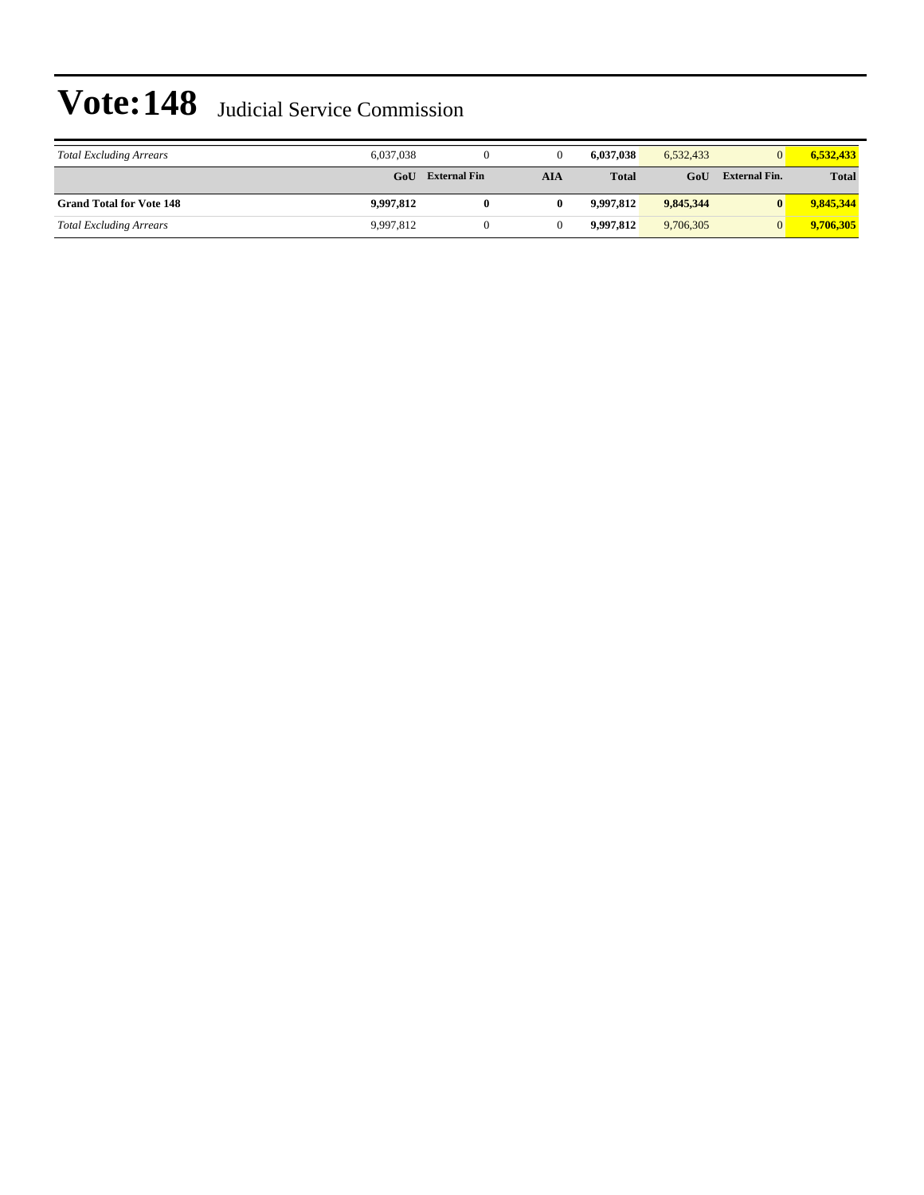| <b>Total Excluding Arrears</b>  | 6.037.038 |                     |     | 6.037.038    | 6.532.433 | $\Omega$      | 6.532.433    |
|---------------------------------|-----------|---------------------|-----|--------------|-----------|---------------|--------------|
|                                 | GoU       | <b>External Fin</b> | AIA | <b>Total</b> | GoU       | External Fin. | <b>Total</b> |
| <b>Grand Total for Vote 148</b> | 9,997,812 |                     |     | 9.997.812    | 9,845,344 | $\mathbf{0}$  | 9,845,344    |
| <b>Total Excluding Arrears</b>  | 9,997,812 |                     |     | 9.997.812    | 9,706,305 | $\Omega$      | 9,706,305    |